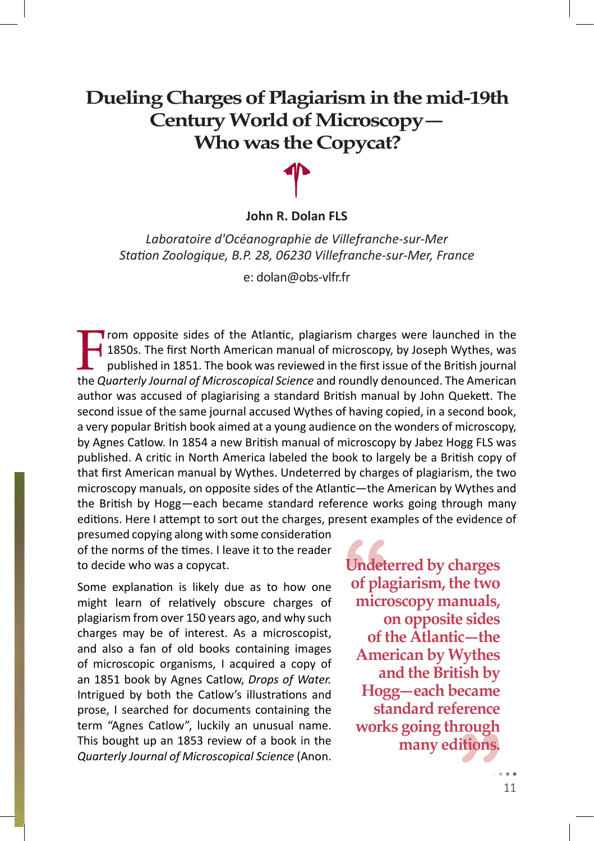# **Dueling Charges of Plagiarism in the mid-19th Century World of Microscopy— Who was the Copycat?**

### **John R. Dolan FLS**

*Laboratoire d'Océanographie de Villefranche-sur-Mer* Station Zoologique, B.P. 28, 06230 Villefranche-sur-Mer, France

e: dolan@obs-vlfr.fr

From opposite sides of the Atlantic, plagiarism charges were launched in the<br>1850s. The first North American manual of microscopy, by Joseph Wythes, was<br>published in 1851. The book was reviewed in the first issue of the Br 1850s. The first North American manual of microscopy, by Joseph Wythes, was published in 1851. The book was reviewed in the first issue of the British journal the *Quarterly Journal of Microscopical Science* and roundly denounced. The American author was accused of plagiarising a standard British manual by John Quekett. The second issue of the same journal accused Wythes of having copied, in a second book, a very popular British book aimed at a young audience on the wonders of microscopy, by Agnes Catlow. In 1854 a new British manual of microscopy by Jabez Hogg FLS was published. A critic in North America labeled the book to largely be a British copy of that first American manual by Wythes. Undeterred by charges of plagiarism, the two microscopy manuals, on opposite sides of the Atlantic—the American by Wythes and the British by Hogg—each became standard reference works going through many editions. Here I attempt to sort out the charges, present examples of the evidence of

presumed copying along with some consideration of the norms of the times. I leave it to the reader to decide who was a copycat.

Some explanation is likely due as to how one might learn of relatively obscure charges of plagiarism from over 150 years ago, and why such charges may be of interest. As a microscopist, and also a fan of old books containing images of microscopic organisms, I acquired a copy of an 1851 book by Agnes Catlow, *Drops of Water.* Intrigued by both the Catlow's illustrations and prose, I searched for documents containing the term "Agnes Catlow", luckily an unusual name. This bought up an 1853 review of a book in the *Quarterly Journal of Microscopical Science* (Anon.

**Undet**<br>of pla<br>micro rougn<br>itions.<br>. **Undeterred by charges of plagiarism, the two microscopy manuals, on opposite sides of the Atlantic—the American by Wythes and the British by Hogg—each became standard reference works going through many editions.**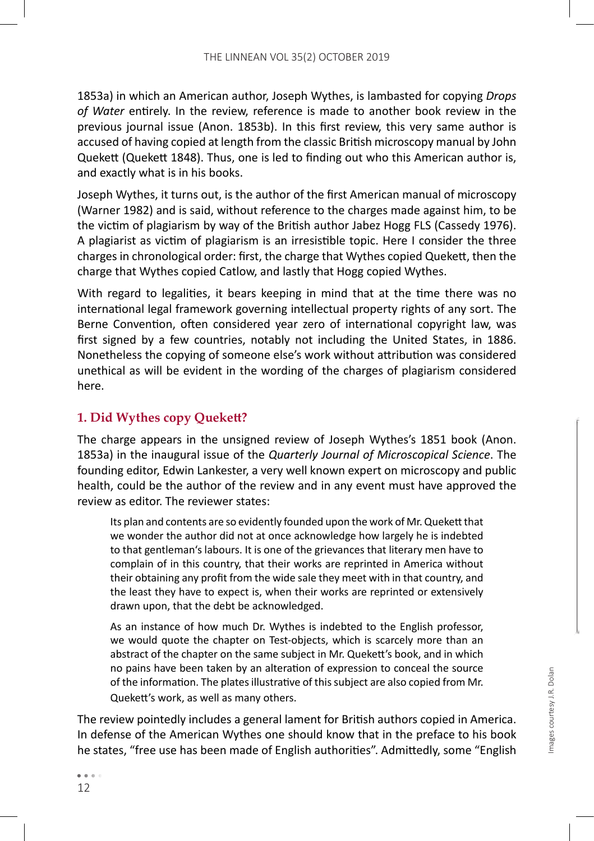1853a) in which an American author, Joseph Wythes, is lambasted for copying *Drops*  of Water entirely. In the review, reference is made to another book review in the previous journal issue (Anon. 1853b). In this first review, this very same author is accused of having copied at length from the classic British microscopy manual by John Quekett (Quekett 1848). Thus, one is led to finding out who this American author is, and exactly what is in his books.

Joseph Wythes, it turns out, is the author of the first American manual of microscopy (Warner 1982) and is said, without reference to the charges made against him, to be the victim of plagiarism by way of the British author Jabez Hogg FLS (Cassedy 1976). A plagiarist as victim of plagiarism is an irresistible topic. Here I consider the three charges in chronological order: first, the charge that Wythes copied Quekett, then the charge that Wythes copied Catlow, and lastly that Hogg copied Wythes.

With regard to legalities, it bears keeping in mind that at the time there was no international legal framework governing intellectual property rights of any sort. The Berne Convention, often considered year zero of international copyright law, was first signed by a few countries, notably not including the United States, in 1886. Nonetheless the copying of someone else's work without attribution was considered unethical as will be evident in the wording of the charges of plagiarism considered here.

# **1. Did Wythes copy Quekett?**

The charge appears in the unsigned review of Joseph Wythes's 1851 book (Anon. 1853a) in the inaugural issue of the *Quarterly Journal of Microscopical Science*. The founding editor, Edwin Lankester, a very well known expert on microscopy and public health, could be the author of the review and in any event must have approved the review as editor. The reviewer states:

Its plan and contents are so evidently founded upon the work of Mr. Quekett that we wonder the author did not at once acknowledge how largely he is indebted to that gentleman's labours. It is one of the grievances that literary men have to complain of in this country, that their works are reprinted in America without their obtaining any profit from the wide sale they meet with in that country, and the least they have to expect is, when their works are reprinted or extensively drawn upon, that the debt be acknowledged.

As an instance of how much Dr. Wythes is indebted to the English professor, we would quote the chapter on Test-objects, which is scarcely more than an abstract of the chapter on the same subject in Mr. Quekett's book, and in which no pains have been taken by an alteration of expression to conceal the source of the information. The plates illustrative of this subject are also copied from Mr. Quekett's work, as well as many others.

The review pointedly includes a general lament for British authors copied in America. In defense of the American Wythes one should know that in the preface to his book he states, "free use has been made of English authorities". Admittedly, some "English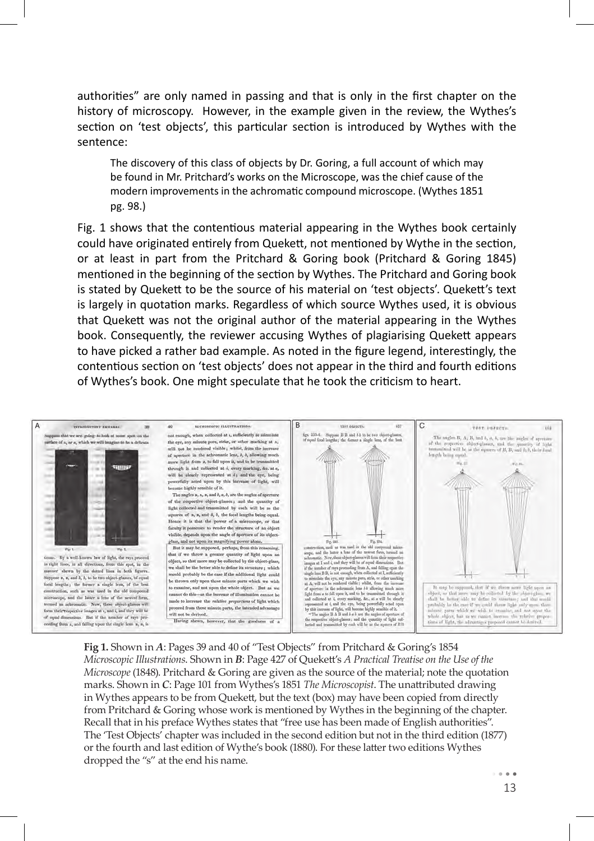authorities" are only named in passing and that is only in the first chapter on the history of microscopy. However, in the example given in the review, the Wythes's section on 'test objects', this particular section is introduced by Wythes with the sentence:

The discovery of this class of objects by Dr. Goring, a full account of which may be found in Mr. Pritchard's works on the Microscope, was the chief cause of the modern improvements in the achromatic compound microscope. (Wythes 1851 pg. 98.)

Fig. 1 shows that the contentious material appearing in the Wythes book certainly could have originated entirely from Quekett, not mentioned by Wythe in the section, or at least in part from the Pritchard & Goring book (Pritchard & Goring 1845) mentioned in the beginning of the section by Wythes. The Pritchard and Goring book is stated by Quekett to be the source of his material on 'test objects'. Quekett's text is largely in quotation marks. Regardless of which source Wythes used, it is obvious that Quekett was not the original author of the material appearing in the Wythes book. Consequently, the reviewer accusing Wythes of plagiarising Quekett appears to have picked a rather bad example. As noted in the figure legend, interestingly, the contentious section on 'test objects' does not appear in the third and fourth editions of Wythes's book. One might speculate that he took the criticism to heart.



**Fig 1.** Shown in *A*: Pages 39 and 40 of "Test Objects" from Pritchard & Goring's 1854 *Microscopic Illustrations*. Shown in *B*: Page 427 of Quekett 's *A Practical Treatise on the Use of the Microscope* (1848). Pritchard & Goring are given as the source of the material; note the quotation marks. Shown in *C*: Page 101 from Wythes's 1851 *The Microscopist*. The unattributed drawing in Wythes appears to be from Quekett, but the text (box) may have been copied from directly from Pritchard & Goring whose work is mentioned by Wythes in the beginning of the chapter. Recall that in his preface Wythes states that "free use has been made of English authorities". The 'Test Objects' chapter was included in the second edition but not in the third edition (1877) or the fourth and last edition of Wythe's book (1880). For these latter two editions Wythes dropped the "s" at the end his name.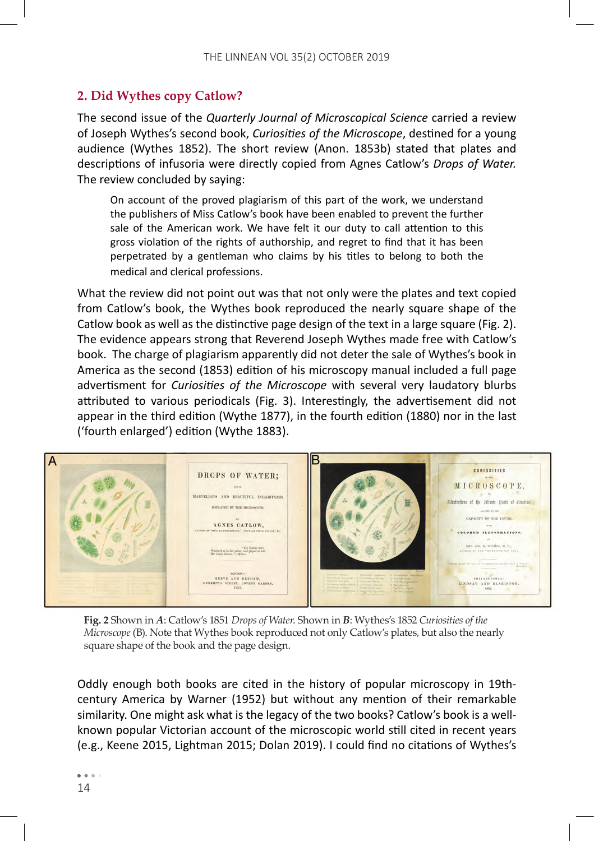## **2. Did Wythes copy Catlow?**

The second issue of the *Quarterly Journal of Microscopical Science* carried a review of Joseph Wythes's second book, *Curiosities of the Microscope*, destined for a young audience (Wythes 1852). The short review (Anon. 1853b) stated that plates and descriptions of infusoria were directly copied from Agnes Catlow's *Drops of Water.* The review concluded by saying:

On account of the proved plagiarism of this part of the work, we understand the publishers of Miss Catlow's book have been enabled to prevent the further sale of the American work. We have felt it our duty to call attention to this gross violation of the rights of authorship, and regret to find that it has been perpetrated by a gentleman who claims by his titles to belong to both the medical and clerical professions.

What the review did not point out was that not only were the plates and text copied from Catlow's book, the Wythes book reproduced the nearly square shape of the Catlow book as well as the distinctive page design of the text in a large square (Fig. 2). The evidence appears strong that Reverend Joseph Wythes made free with Catlow's book. The charge of plagiarism apparently did not deter the sale of Wythes's book in America as the second (1853) edition of his microscopy manual included a full page advertisment for *Curiosities of the Microscope* with several very laudatory blurbs attributed to various periodicals (Fig. 3). Interestingly, the advertisement did not appear in the third edition (Wythe 1877), in the fourth edition (1880) nor in the last ('fourth enlarged') edition (Wythe 1883).



**Fig. 2** Shown in *A*: Catlow's 1851 *Drops of Water*. Shown in *B*: Wythes's 1852 *Curiosities of the Microscope* (B). Note that Wythes book reproduced not only Catlow's plates, but also the nearly square shape of the book and the page design.

Oddly enough both books are cited in the history of popular microscopy in 19thcentury America by Warner (1952) but without any mention of their remarkable similarity. One might ask what is the legacy of the two books? Catlow's book is a wellknown popular Victorian account of the microscopic world still cited in recent years (e.g., Keene 2015, Lightman 2015; Dolan 2019). I could find no citations of Wythes's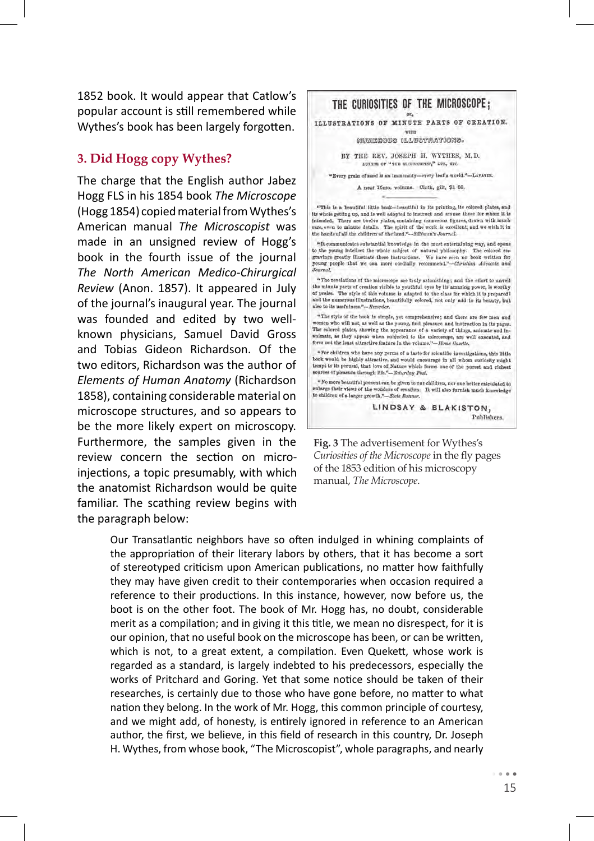1852 book. It would appear that Catlow's popular account is still remembered while Wythes's book has been largely forgotten.

#### **3. Did Hogg copy Wythes?**

The charge that the English author Jabez Hogg FLS in his 1854 book *The Microscope*  (Hogg 1854) copied material from Wythes's American manual *The Microscopist* was made in an unsigned review of Hogg's book in the fourth issue of the journal *The North American Medico-Chirurgical Review* (Anon. 1857). It appeared in July of the journal's inaugural year. The journal was founded and edited by two wellknown physicians, Samuel David Gross and Tobias Gideon Richardson. Of the two editors, Richardson was the author of *Elements of Human Anatomy* (Richardson 1858), containing considerable material on microscope structures, and so appears to be the more likely expert on microscopy. Furthermore, the samples given in the review concern the section on microinjections, a topic presumably, with which the anatomist Richardson would be quite familiar. The scathing review begins with the paragraph below:

THE CURIOSITIES OF THE MICROSCOPE;

ILLUSTRATIONS OF MINUTE PARTS OF CREATION.

 $\overline{\text{w}}$ MUMILROUS ILLUSTRATIONS.

BY THE REV. JOSEPH H. WYTHES, M.D. AUTHIN OF "THE MICHOSCOPIST," ave., ave

"Every grain of sand is an immensity-every leaf a world."-LAVAYER.

A neat 16mo, volume. Clath, gilt, \$1 00,

"This is a beautiful little book-beautiful in its printing, its colored plates, and its whole getting up, and is well adapted to instruct and amuse those for whom it is Infended. There are twelve plates, containing numerous figures, drawn with much rare, even to minute details. The spirit of the work is excellent, and we wish it in the hands of all the children of the land."-Sillimon's Journal.

"It communicates substantial knowledge in the most entertaining way, and opens to the young intellect the whole subject of natural philosophy. The colored engravings greatly illustrate these instructions. We have seen no book written for young people that we can more cordially recommend."-Christian Advocate and **Journal** 

"The revelations of the microscope are truly astonishing; and the effort to unvell the minute parts of creation visible to youthful eyes by its amazing power, is worthy of praise. The style of this volume is adapted to the class for which it is prepared? and the numerous illustrations, beautifully colored, not only add to its beauty, but also to its usefulness."-Recorder.

"The style of the book is simple, yet comprehensive; and there are few men and women who will not, as well as the young, find pleasure and instruction in its pages. The colored plates, showing the appearance of a variety of things, animate and inanimate, as they appear when entrjected to the microscope, are well executed, and form not the least altractive feature in the volume."-Home Gazette.

"For children who have any germs of a laste for scientific investigations, this little book would be highly attractive, and would encourage in all whom curiosity might tempt to its perural, that love of Nature which forms one of the purset and richest sources of pleasure through life."-Schurday Post.

"No more beautiful present can be given to our children, nor one better calculated to enlarge their views of the wonders of creation. It will also furnish much knowledge to children of a larger growth."-Sont Bonner.

> LINDSAY & BLAKISTON, Publishers.

**Fig. 3** The advertisement for Wythes's *Curiosities of the Microscope* in the fly pages of the 1853 edition of his microscopy manual, *The Microscope*.

Our Transatlantic neighbors have so often indulged in whining complaints of the appropriation of their literary labors by others, that it has become a sort of stereotyped criticism upon American publications, no matter how faithfully they may have given credit to their contemporaries when occasion required a reference to their productions. In this instance, however, now before us, the boot is on the other foot. The book of Mr. Hogg has, no doubt, considerable merit as a compilation; and in giving it this title, we mean no disrespect, for it is our opinion, that no useful book on the microscope has been, or can be written, which is not, to a great extent, a compilation. Even Quekett, whose work is regarded as a standard, is largely indebted to his predecessors, especially the works of Pritchard and Goring. Yet that some notice should be taken of their researches, is certainly due to those who have gone before, no matter to what nation they belong. In the work of Mr. Hogg, this common principle of courtesy, and we might add, of honesty, is entirely ignored in reference to an American author, the first, we believe, in this field of research in this country, Dr. Joseph H. Wythes, from whose book, "The Microscopist", whole paragraphs, and nearly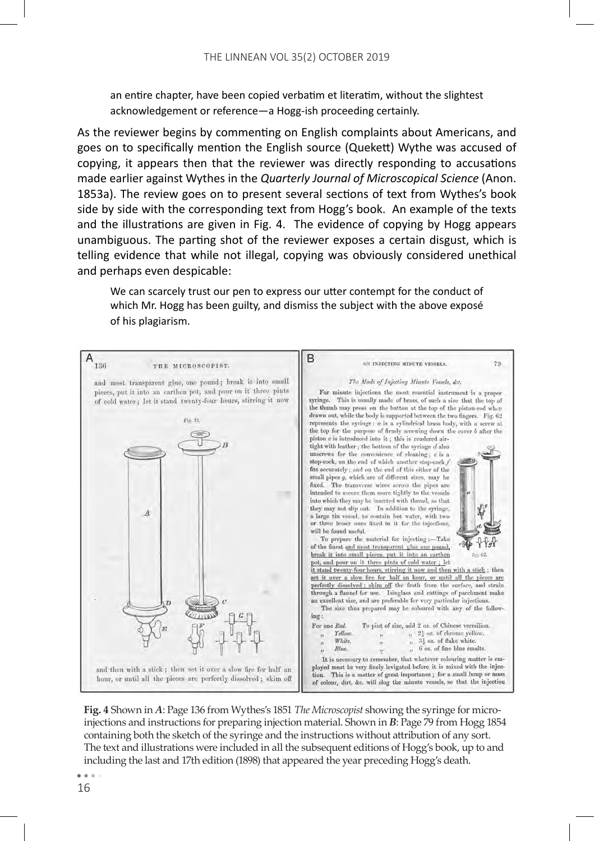an entire chapter, have been copied verbatim et literatim, without the slightest acknowledgement or reference—a Hogg-ish proceeding certainly.

As the reviewer begins by commenting on English complaints about Americans, and goes on to specifically mention the English source (Quekett) Wythe was accused of copying, it appears then that the reviewer was directly responding to accusations made earlier against Wythes in the *Quarterly Journal of Microscopical Science* (Anon. 1853a). The review goes on to present several sections of text from Wythes's book side by side with the corresponding text from Hogg's book. An example of the texts and the illustrations are given in Fig. 4. The evidence of copying by Hogg appears unambiguous. The parting shot of the reviewer exposes a certain disgust, which is telling evidence that while not illegal, copying was obviously considered unethical and perhaps even despicable:

We can scarcely trust our pen to express our utter contempt for the conduct of which Mr. Hogg has been guilty, and dismiss the subject with the above exposé of his plagiarism.



**Fig. 4** Shown in *A*: Page 136 from Wythes's 1851 *The Microscopist* showing the syringe for microinjections and instructions for preparing injection material. Shown in *B*: Page 79 from Hogg 1854 containing both the sketch of the syringe and the instructions without attribution of any sort. The text and illustrations were included in all the subsequent editions of Hogg's book, up to and including the last and 17th edition (1898) that appeared the year preceding Hogg's death.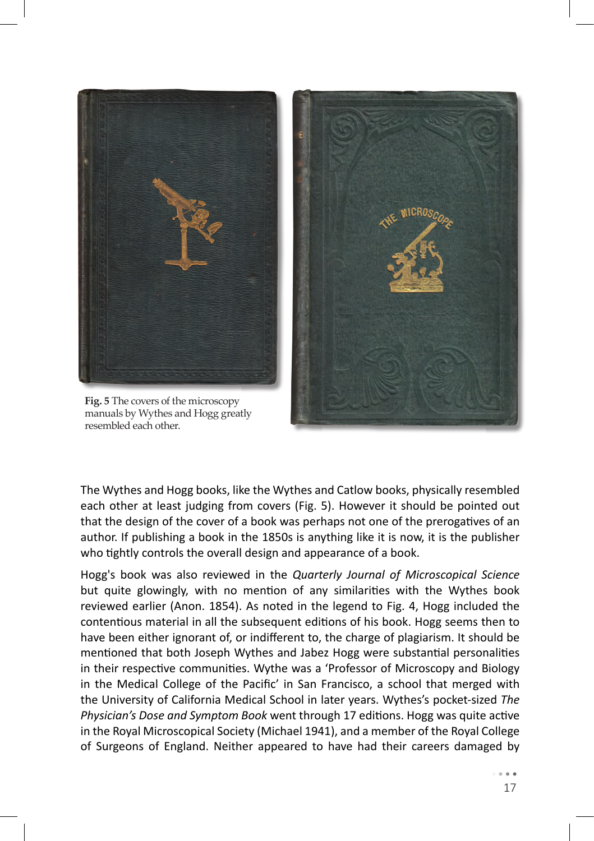

**Fig. 5** The covers of the microscopy manuals by Wythes and Hogg greatly resembled each other.



The Wythes and Hogg books, like the Wythes and Catlow books, physically resembled each other at least judging from covers (Fig. 5). However it should be pointed out that the design of the cover of a book was perhaps not one of the prerogatives of an author. If publishing a book in the 1850s is anything like it is now, it is the publisher who tightly controls the overall design and appearance of a book.

Hogg's book was also reviewed in the *Quarterly Journal of Microscopical Science* but quite glowingly, with no mention of any similarities with the Wythes book reviewed earlier (Anon. 1854). As noted in the legend to Fig. 4, Hogg included the contentious material in all the subsequent editions of his book. Hogg seems then to have been either ignorant of, or indifferent to, the charge of plagiarism. It should be mentioned that both Joseph Wythes and Jabez Hogg were substantial personalities in their respective communities. Wythe was a 'Professor of Microscopy and Biology in the Medical College of the Pacific' in San Francisco, a school that merged with the University of California Medical School in later years. Wythes's pocket-sized *The Physician's Dose and Symptom Book* went through 17 editions. Hogg was quite active in the Royal Microscopical Society (Michael 1941), and a member of the Royal College of Surgeons of England. Neither appeared to have had their careers damaged by